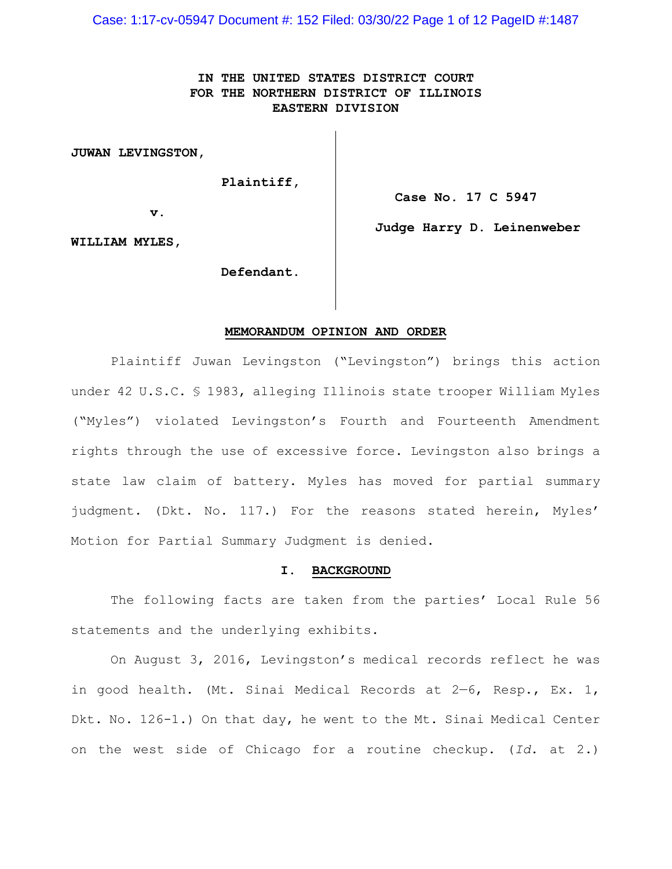Case: 1:17-cv-05947 Document #: 152 Filed: 03/30/22 Page 1 of 12 PageID #:1487

# **IN THE UNITED STATES DISTRICT COURT FOR THE NORTHERN DISTRICT OF ILLINOIS EASTERN DIVISION**

**JUWAN LEVINGSTON,**

 **Plaintiff,**

**Case No. 17 C 5947**

**v.**

**Judge Harry D. Leinenweber**

**WILLIAM MYLES,**

 **Defendant.**

#### **MEMORANDUM OPINION AND ORDER**

Plaintiff Juwan Levingston ("Levingston") brings this action under 42 U.S.C. § 1983, alleging Illinois state trooper William Myles ("Myles") violated Levingston's Fourth and Fourteenth Amendment rights through the use of excessive force. Levingston also brings a state law claim of battery. Myles has moved for partial summary judgment. (Dkt. No. 117.) For the reasons stated herein, Myles' Motion for Partial Summary Judgment is denied.

#### **I. BACKGROUND**

The following facts are taken from the parties' Local Rule 56 statements and the underlying exhibits.

On August 3, 2016, Levingston's medical records reflect he was in good health. (Mt. Sinai Medical Records at 2—6, Resp., Ex. 1, Dkt. No. 126-1.) On that day, he went to the Mt. Sinai Medical Center on the west side of Chicago for a routine checkup. (*Id*. at 2.)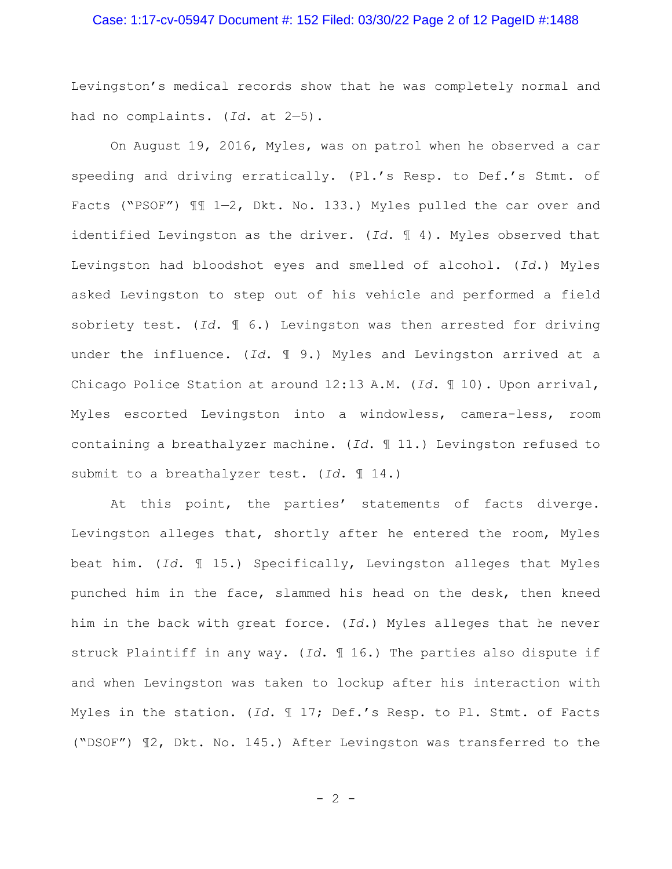# Case: 1:17-cv-05947 Document #: 152 Filed: 03/30/22 Page 2 of 12 PageID #:1488

Levingston's medical records show that he was completely normal and had no complaints. (*Id*. at 2—5).

On August 19, 2016, Myles, was on patrol when he observed a car speeding and driving erratically. (Pl.'s Resp. to Def.'s Stmt. of Facts ("PSOF")  $\mathbb{II}$  1-2, Dkt. No. 133.) Myles pulled the car over and identified Levingston as the driver. (*Id*. ¶ 4). Myles observed that Levingston had bloodshot eyes and smelled of alcohol. (*Id*.) Myles asked Levingston to step out of his vehicle and performed a field sobriety test. (*Id*. ¶ 6.) Levingston was then arrested for driving under the influence. (*Id*. ¶ 9.) Myles and Levingston arrived at a Chicago Police Station at around 12:13 A.M. (*Id*. ¶ 10). Upon arrival, Myles escorted Levingston into a windowless, camera-less, room containing a breathalyzer machine. (*Id*. ¶ 11.) Levingston refused to submit to a breathalyzer test. (*Id*. ¶ 14.)

At this point, the parties' statements of facts diverge. Levingston alleges that, shortly after he entered the room, Myles beat him. (*Id*. ¶ 15.) Specifically, Levingston alleges that Myles punched him in the face, slammed his head on the desk, then kneed him in the back with great force. (*Id*.) Myles alleges that he never struck Plaintiff in any way. (*Id*. ¶ 16.) The parties also dispute if and when Levingston was taken to lockup after his interaction with Myles in the station. (*Id*. ¶ 17; Def.'s Resp. to Pl. Stmt. of Facts ("DSOF") ¶2, Dkt. No. 145.) After Levingston was transferred to the

 $- 2 -$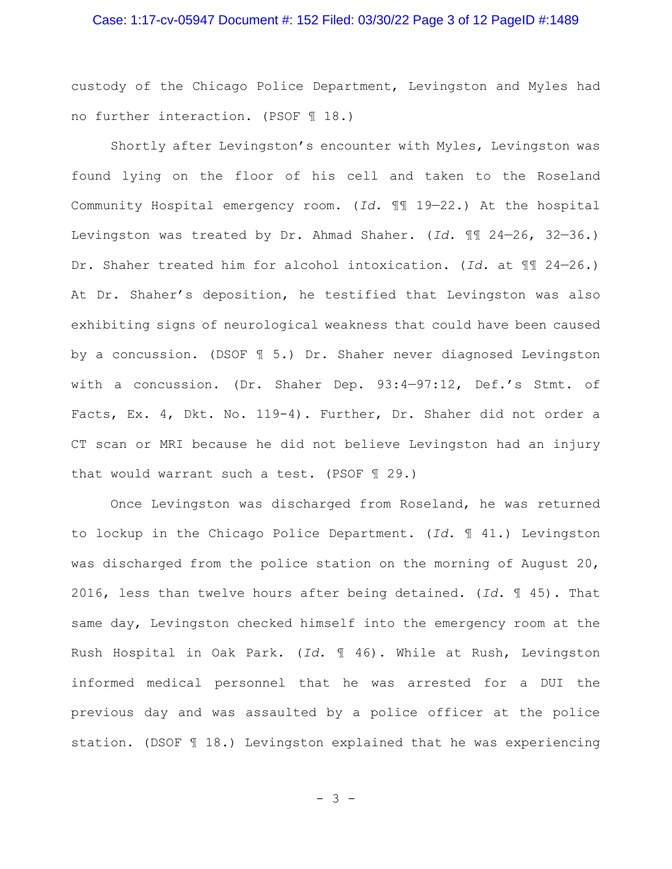# Case: 1:17-cv-05947 Document #: 152 Filed: 03/30/22 Page 3 of 12 PageID #:1489

custody of the Chicago Police Department, Levingston and Myles had no further interaction. (PSOF ¶ 18.)

Shortly after Levingston's encounter with Myles, Levingston was found lying on the floor of his cell and taken to the Roseland Community Hospital emergency room. (*Id*. ¶¶ 19—22.) At the hospital Levingston was treated by Dr. Ahmad Shaher. (*Id*. ¶¶ 24—26, 32—36.) Dr. Shaher treated him for alcohol intoxication. (*Id*. at ¶¶ 24—26.) At Dr. Shaher's deposition, he testified that Levingston was also exhibiting signs of neurological weakness that could have been caused by a concussion. (DSOF ¶ 5.) Dr. Shaher never diagnosed Levingston with a concussion. (Dr. Shaher Dep. 93:4—97:12, Def.'s Stmt. of Facts, Ex. 4, Dkt. No. 119-4). Further, Dr. Shaher did not order a CT scan or MRI because he did not believe Levingston had an injury that would warrant such a test. (PSOF ¶ 29.)

Once Levingston was discharged from Roseland, he was returned to lockup in the Chicago Police Department. (*Id*. ¶ 41.) Levingston was discharged from the police station on the morning of August 20, 2016, less than twelve hours after being detained. (*Id*. ¶ 45). That same day, Levingston checked himself into the emergency room at the Rush Hospital in Oak Park. (*Id*. ¶ 46). While at Rush, Levingston informed medical personnel that he was arrested for a DUI the previous day and was assaulted by a police officer at the police station. (DSOF ¶ 18.) Levingston explained that he was experiencing

- 3 -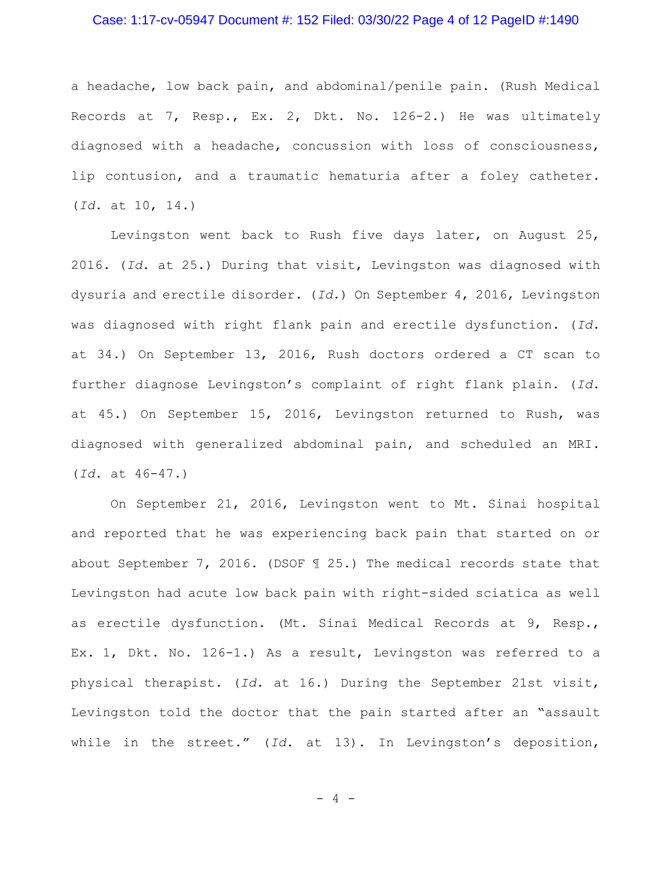#### Case: 1:17-cv-05947 Document #: 152 Filed: 03/30/22 Page 4 of 12 PageID #:1490

a headache, low back pain, and abdominal/penile pain. (Rush Medical Records at 7, Resp., Ex. 2, Dkt. No. 126-2.) He was ultimately diagnosed with a headache, concussion with loss of consciousness, lip contusion, and a traumatic hematuria after a foley catheter. (*Id*. at 10, 14.)

Levingston went back to Rush five days later, on August 25, 2016. (*Id*. at 25.) During that visit, Levingston was diagnosed with dysuria and erectile disorder. (*Id*.) On September 4, 2016, Levingston was diagnosed with right flank pain and erectile dysfunction. (*Id*. at 34.) On September 13, 2016, Rush doctors ordered a CT scan to further diagnose Levingston's complaint of right flank plain. (*Id*. at 45.) On September 15, 2016, Levingston returned to Rush, was diagnosed with generalized abdominal pain, and scheduled an MRI. (*Id*. at 46-47.)

On September 21, 2016, Levingston went to Mt. Sinai hospital and reported that he was experiencing back pain that started on or about September 7, 2016. (DSOF ¶ 25.) The medical records state that Levingston had acute low back pain with right-sided sciatica as well as erectile dysfunction. (Mt. Sinai Medical Records at 9, Resp., Ex. 1, Dkt. No. 126-1.) As a result, Levingston was referred to a physical therapist. (*Id*. at 16.) During the September 21st visit, Levingston told the doctor that the pain started after an "assault while in the street." (*Id*. at 13). In Levingston's deposition,

 $- 4 -$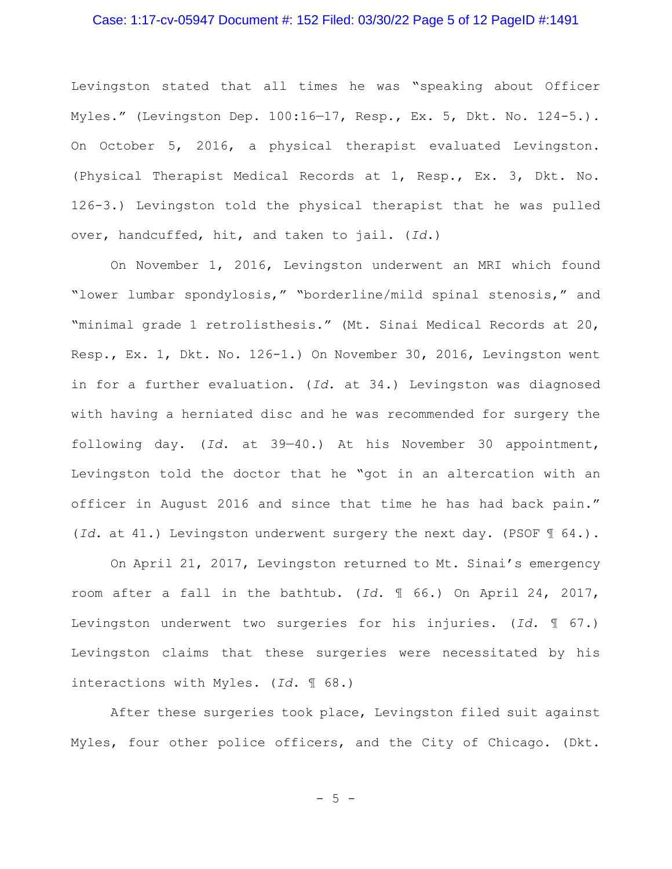## Case: 1:17-cv-05947 Document #: 152 Filed: 03/30/22 Page 5 of 12 PageID #:1491

Levingston stated that all times he was "speaking about Officer Myles." (Levingston Dep. 100:16—17, Resp., Ex. 5, Dkt. No. 124-5.). On October 5, 2016, a physical therapist evaluated Levingston. (Physical Therapist Medical Records at 1, Resp., Ex. 3, Dkt. No. 126-3.) Levingston told the physical therapist that he was pulled over, handcuffed, hit, and taken to jail. (*Id*.)

On November 1, 2016, Levingston underwent an MRI which found "lower lumbar spondylosis," "borderline/mild spinal stenosis," and "minimal grade 1 retrolisthesis." (Mt. Sinai Medical Records at 20, Resp., Ex. 1, Dkt. No. 126-1.) On November 30, 2016, Levingston went in for a further evaluation. (*Id*. at 34.) Levingston was diagnosed with having a herniated disc and he was recommended for surgery the following day. (*Id*. at 39—40.) At his November 30 appointment, Levingston told the doctor that he "got in an altercation with an officer in August 2016 and since that time he has had back pain." (*Id*. at 41.) Levingston underwent surgery the next day. (PSOF ¶ 64.).

On April 21, 2017, Levingston returned to Mt. Sinai's emergency room after a fall in the bathtub. (*Id*. ¶ 66.) On April 24, 2017, Levingston underwent two surgeries for his injuries. (*Id*. ¶ 67.) Levingston claims that these surgeries were necessitated by his interactions with Myles. (*Id*. ¶ 68.)

After these surgeries took place, Levingston filed suit against Myles, four other police officers, and the City of Chicago. (Dkt.

 $-5 -$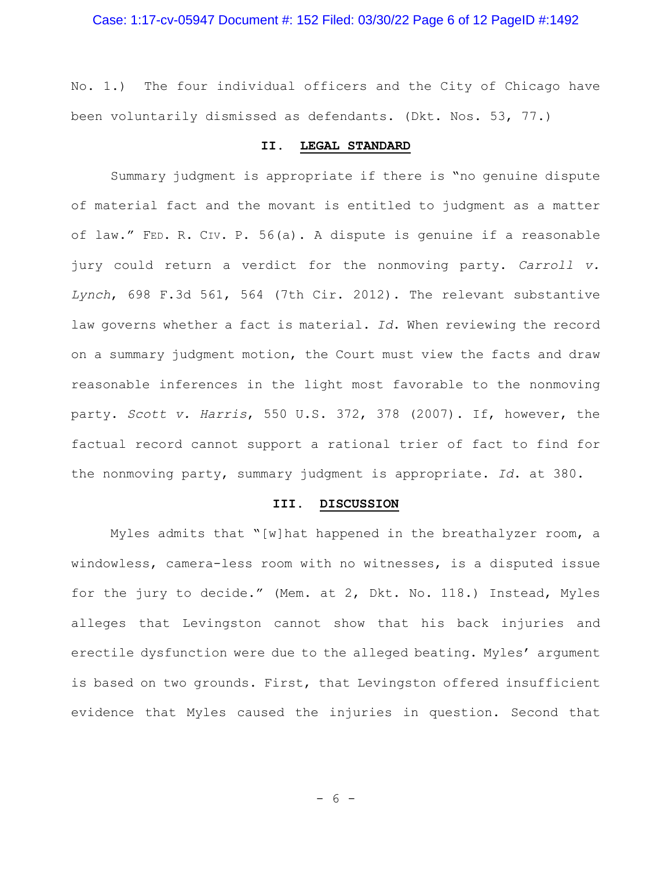No. 1.) The four individual officers and the City of Chicago have been voluntarily dismissed as defendants. (Dkt. Nos. 53, 77.)

# **II. LEGAL STANDARD**

Summary judgment is appropriate if there is "no genuine dispute of material fact and the movant is entitled to judgment as a matter of law." FED. R. CIV. P. 56(a). A dispute is genuine if a reasonable jury could return a verdict for the nonmoving party. *Carroll v. Lynch*, 698 F.3d 561, 564 (7th Cir. 2012). The relevant substantive law governs whether a fact is material. *Id*. When reviewing the record on a summary judgment motion, the Court must view the facts and draw reasonable inferences in the light most favorable to the nonmoving party. *Scott v. Harris*, 550 U.S. 372, 378 (2007). If, however, the factual record cannot support a rational trier of fact to find for the nonmoving party, summary judgment is appropriate. *Id*. at 380.

#### **III. DISCUSSION**

Myles admits that "[w]hat happened in the breathalyzer room, a windowless, camera-less room with no witnesses, is a disputed issue for the jury to decide." (Mem. at 2, Dkt. No. 118.) Instead, Myles alleges that Levingston cannot show that his back injuries and erectile dysfunction were due to the alleged beating. Myles' argument is based on two grounds. First, that Levingston offered insufficient evidence that Myles caused the injuries in question. Second that

- 6 -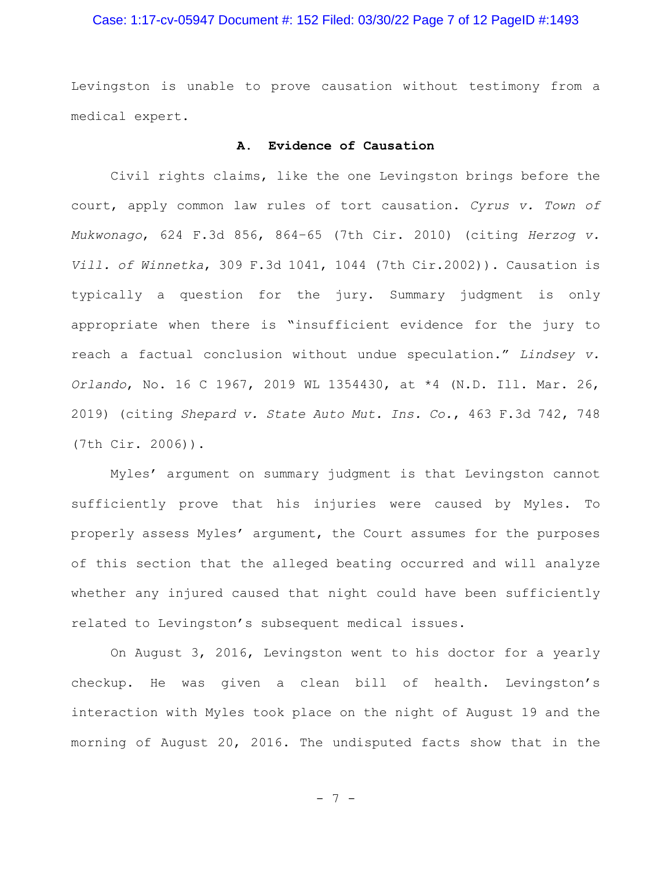# Case: 1:17-cv-05947 Document #: 152 Filed: 03/30/22 Page 7 of 12 PageID #:1493

Levingston is unable to prove causation without testimony from a medical expert.

# **A. Evidence of Causation**

Civil rights claims, like the one Levingston brings before the court, apply common law rules of tort causation. *Cyrus v. Town of Mukwonago*, 624 F.3d 856, 864–65 (7th Cir. 2010) (citing *Herzog v. Vill. of Winnetka*, 309 F.3d 1041, 1044 (7th Cir.2002)). Causation is typically a question for the jury. Summary judgment is only appropriate when there is "insufficient evidence for the jury to reach a factual conclusion without undue speculation." *Lindsey v. Orlando*, No. 16 C 1967, 2019 WL 1354430, at \*4 (N.D. Ill. Mar. 26, 2019) (citing *Shepard v. State Auto Mut. Ins. Co.*, 463 F.3d 742, 748 (7th Cir. 2006)).

Myles' argument on summary judgment is that Levingston cannot sufficiently prove that his injuries were caused by Myles. To properly assess Myles' argument, the Court assumes for the purposes of this section that the alleged beating occurred and will analyze whether any injured caused that night could have been sufficiently related to Levingston's subsequent medical issues.

On August 3, 2016, Levingston went to his doctor for a yearly checkup. He was given a clean bill of health. Levingston's interaction with Myles took place on the night of August 19 and the morning of August 20, 2016. The undisputed facts show that in the

- 7 -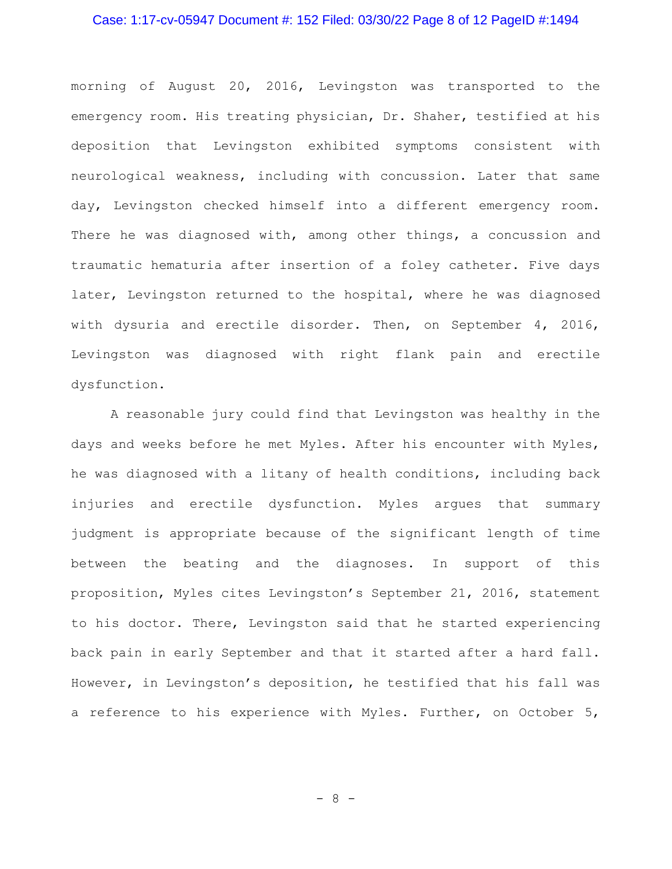#### Case: 1:17-cv-05947 Document #: 152 Filed: 03/30/22 Page 8 of 12 PageID #:1494

morning of August 20, 2016, Levingston was transported to the emergency room. His treating physician, Dr. Shaher, testified at his deposition that Levingston exhibited symptoms consistent with neurological weakness, including with concussion. Later that same day, Levingston checked himself into a different emergency room. There he was diagnosed with, among other things, a concussion and traumatic hematuria after insertion of a foley catheter. Five days later, Levingston returned to the hospital, where he was diagnosed with dysuria and erectile disorder. Then, on September 4, 2016, Levingston was diagnosed with right flank pain and erectile dysfunction.

A reasonable jury could find that Levingston was healthy in the days and weeks before he met Myles. After his encounter with Myles, he was diagnosed with a litany of health conditions, including back injuries and erectile dysfunction. Myles argues that summary judgment is appropriate because of the significant length of time between the beating and the diagnoses. In support of this proposition, Myles cites Levingston's September 21, 2016, statement to his doctor. There, Levingston said that he started experiencing back pain in early September and that it started after a hard fall. However, in Levingston's deposition, he testified that his fall was a reference to his experience with Myles. Further, on October 5,

- 8 -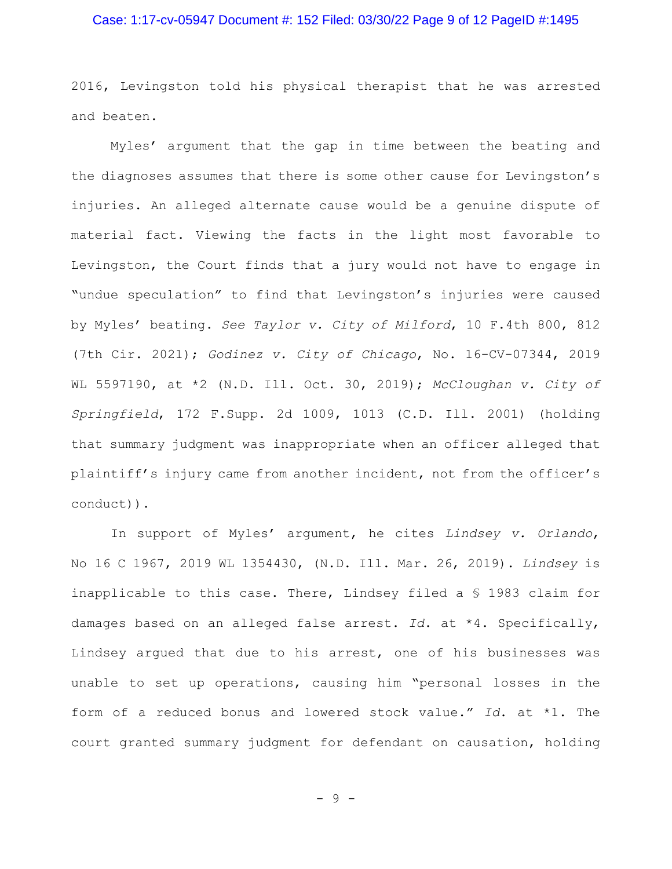# Case: 1:17-cv-05947 Document #: 152 Filed: 03/30/22 Page 9 of 12 PageID #:1495

2016, Levingston told his physical therapist that he was arrested and beaten.

Myles' argument that the gap in time between the beating and the diagnoses assumes that there is some other cause for Levingston's injuries. An alleged alternate cause would be a genuine dispute of material fact. Viewing the facts in the light most favorable to Levingston, the Court finds that a jury would not have to engage in "undue speculation" to find that Levingston's injuries were caused by Myles' beating. *See Taylor v. City of Milford*, 10 F.4th 800, 812 (7th Cir. 2021); *Godinez v. City of Chicago*, No. 16-CV-07344, 2019 WL 5597190, at \*2 (N.D. Ill. Oct. 30, 2019); *McCloughan v. City of Springfield*, 172 F.Supp. 2d 1009, 1013 (C.D. Ill. 2001) (holding that summary judgment was inappropriate when an officer alleged that plaintiff's injury came from another incident, not from the officer's conduct)).

In support of Myles' argument, he cites *Lindsey v. Orlando*, No 16 C 1967, 2019 WL 1354430, (N.D. Ill. Mar. 26, 2019). *Lindsey* is inapplicable to this case. There, Lindsey filed a § 1983 claim for damages based on an alleged false arrest. *Id*. at \*4. Specifically, Lindsey argued that due to his arrest, one of his businesses was unable to set up operations, causing him "personal losses in the form of a reduced bonus and lowered stock value." *Id*. at \*1. The court granted summary judgment for defendant on causation, holding

- 9 -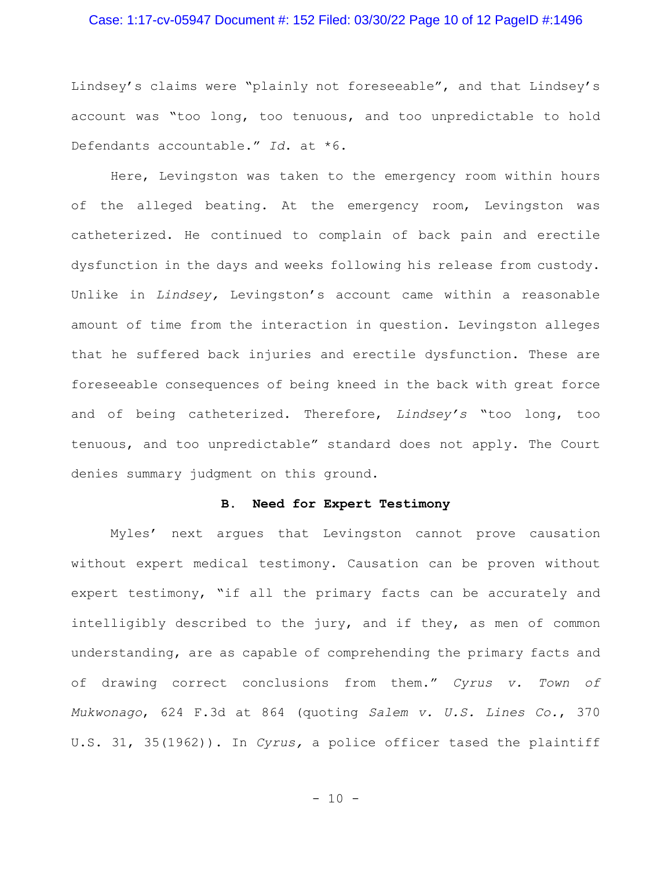## Case: 1:17-cv-05947 Document #: 152 Filed: 03/30/22 Page 10 of 12 PageID #:1496

Lindsey's claims were "plainly not foreseeable", and that Lindsey's account was "too long, too tenuous, and too unpredictable to hold Defendants accountable." *Id*. at \*6.

Here, Levingston was taken to the emergency room within hours of the alleged beating. At the emergency room, Levingston was catheterized. He continued to complain of back pain and erectile dysfunction in the days and weeks following his release from custody. Unlike in *Lindsey,* Levingston's account came within a reasonable amount of time from the interaction in question. Levingston alleges that he suffered back injuries and erectile dysfunction. These are foreseeable consequences of being kneed in the back with great force and of being catheterized. Therefore, *Lindsey's* "too long, too tenuous, and too unpredictable" standard does not apply. The Court denies summary judgment on this ground.

#### **B. Need for Expert Testimony**

Myles' next argues that Levingston cannot prove causation without expert medical testimony. Causation can be proven without expert testimony, "if all the primary facts can be accurately and intelligibly described to the jury, and if they, as men of common understanding, are as capable of comprehending the primary facts and of drawing correct conclusions from them." *Cyrus v. Town of Mukwonago*, 624 F.3d at 864 (quoting *Salem v. U.S. Lines Co.*, 370 U.S. 31, 35(1962)). In *Cyrus,* a police officer tased the plaintiff

 $- 10 -$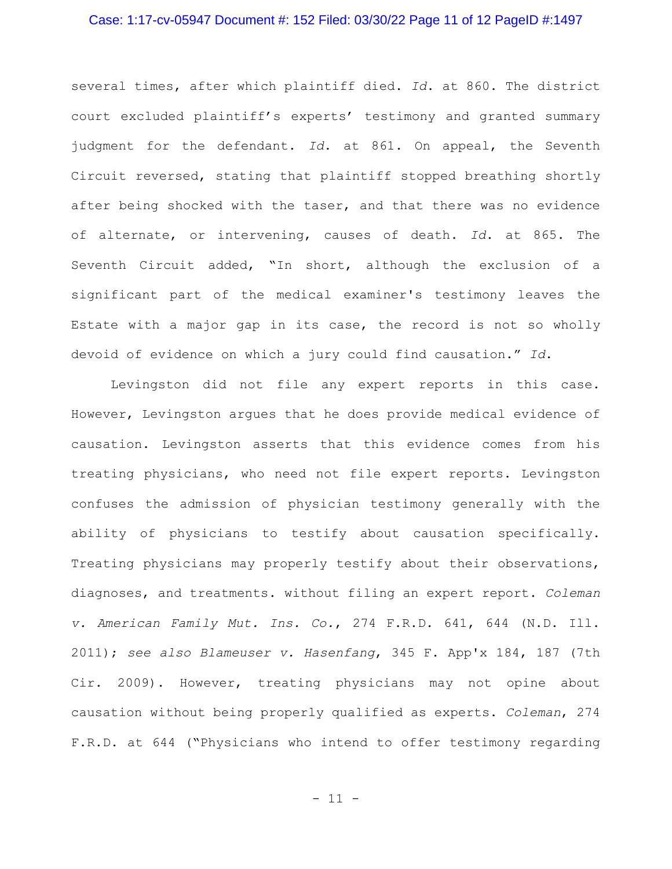# Case: 1:17-cv-05947 Document #: 152 Filed: 03/30/22 Page 11 of 12 PageID #:1497

several times, after which plaintiff died. *Id*. at 860. The district court excluded plaintiff's experts' testimony and granted summary judgment for the defendant. *Id*. at 861. On appeal, the Seventh Circuit reversed, stating that plaintiff stopped breathing shortly after being shocked with the taser, and that there was no evidence of alternate, or intervening, causes of death. *Id*. at 865. The Seventh Circuit added, "In short, although the exclusion of a significant part of the medical examiner's testimony leaves the Estate with a major gap in its case, the record is not so wholly devoid of evidence on which a jury could find causation." *Id*.

Levingston did not file any expert reports in this case. However, Levingston argues that he does provide medical evidence of causation. Levingston asserts that this evidence comes from his treating physicians, who need not file expert reports. Levingston confuses the admission of physician testimony generally with the ability of physicians to testify about causation specifically. Treating physicians may properly testify about their observations, diagnoses, and treatments. without filing an expert report. *Coleman v. American Family Mut. Ins. Co.*, 274 F.R.D. 641, 644 (N.D. Ill. 2011); *see also Blameuser v. Hasenfang*, 345 F. App'x 184, 187 (7th Cir. 2009). However, treating physicians may not opine about causation without being properly qualified as experts. *Coleman*, 274 F.R.D. at 644 ("Physicians who intend to offer testimony regarding